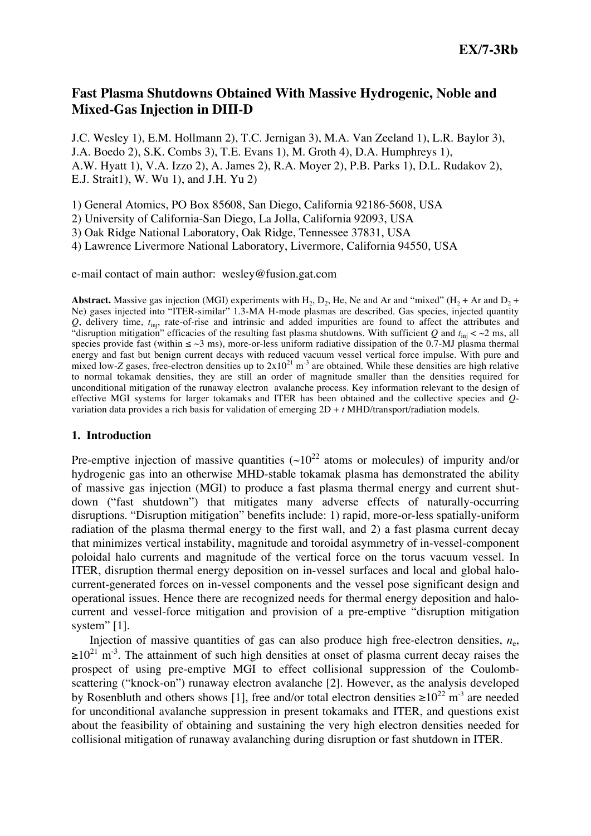# **Fast Plasma Shutdowns Obtained With Massive Hydrogenic, Noble and Mixed-Gas Injection in DIII-D**

J.C. Wesley 1), E.M. Hollmann 2), T.C. Jernigan 3), M.A. Van Zeeland 1), L.R. Baylor 3), J.A. Boedo 2), S.K. Combs 3), T.E. Evans 1), M. Groth 4), D.A. Humphreys 1), A.W. Hyatt 1), V.A. Izzo 2), A. James 2), R.A. Moyer 2), P.B. Parks 1), D.L. Rudakov 2), E.J. Strait1), W. Wu 1), and J.H. Yu 2)

1) General Atomics, PO Box 85608, San Diego, California 92186-5608, USA

2) University of California-San Diego, La Jolla, California 92093, USA

3) Oak Ridge National Laboratory, Oak Ridge, Tennessee 37831, USA

4) Lawrence Livermore National Laboratory, Livermore, California 94550, USA

e-mail contact of main author: wesley@fusion.gat.com

**Abstract.** Massive gas injection (MGI) experiments with H<sub>2</sub>, D<sub>2</sub>, He, Ne and Ar and "mixed" (H<sub>2</sub> + Ar and D<sub>2</sub> + Ne) gases injected into "ITER-similar" 1.3-MA H-mode plasmas are described. Gas species, injected quantity *Q*, delivery time, *t*inj, rate-of-rise and intrinsic and added impurities are found to affect the attributes and "disruption mitigation" efficacies of the resulting fast plasma shutdowns. With sufficient  $Q$  and  $t_{\rm inj}$  <  $\sim$ 2 ms, all species provide fast (within  $\leq$   $\sim$ 3 ms), more-or-less uniform radiative dissipation of the 0.7-MJ plasma thermal energy and fast but benign current decays with reduced vacuum vessel vertical force impulse. With pure and mixed low-*Z* gases, free-electron densities up to  $2x10^{21}$  m<sup>-3</sup> are obtained. While these densities are high relative to normal tokamak densities, they are still an order of magnitude smaller than the densities required for unconditional mitigation of the runaway electron avalanche process. Key information relevant to the design of effective MGI systems for larger tokamaks and ITER has been obtained and the collective species and *Q*variation data provides a rich basis for validation of emerging 2D + *t* MHD/transport/radiation models.

## **1. Introduction**

Pre-emptive injection of massive quantities  $({\sim}10^{22}$  atoms or molecules) of impurity and/or hydrogenic gas into an otherwise MHD-stable tokamak plasma has demonstrated the ability of massive gas injection (MGI) to produce a fast plasma thermal energy and current shutdown ("fast shutdown") that mitigates many adverse effects of naturally-occurring disruptions. "Disruption mitigation" benefits include: 1) rapid, more-or-less spatially-uniform radiation of the plasma thermal energy to the first wall, and 2) a fast plasma current decay that minimizes vertical instability, magnitude and toroidal asymmetry of in-vessel-component poloidal halo currents and magnitude of the vertical force on the torus vacuum vessel. In ITER, disruption thermal energy deposition on in-vessel surfaces and local and global halocurrent-generated forces on in-vessel components and the vessel pose significant design and operational issues. Hence there are recognized needs for thermal energy deposition and halocurrent and vessel-force mitigation and provision of a pre-emptive "disruption mitigation system" [1].

Injection of massive quantities of gas can also produce high free-electron densities,  $n_e$ ,  $\geq 10^{21}$  m<sup>-3</sup>. The attainment of such high densities at onset of plasma current decay raises the prospect of using pre-emptive MGI to effect collisional suppression of the Coulombscattering ("knock-on") runaway electron avalanche [2]. However, as the analysis developed by Rosenbluth and others shows [1], free and/or total electron densities  $\geq 10^{22}$  m<sup>-3</sup> are needed for unconditional avalanche suppression in present tokamaks and ITER, and questions exist about the feasibility of obtaining and sustaining the very high electron densities needed for collisional mitigation of runaway avalanching during disruption or fast shutdown in ITER.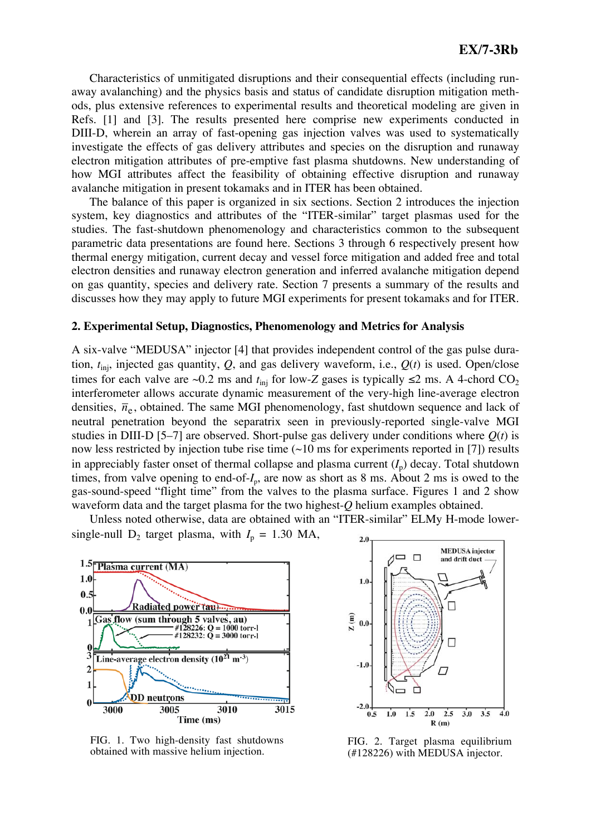Characteristics of unmitigated disruptions and their consequential effects (including runaway avalanching) and the physics basis and status of candidate disruption mitigation methods, plus extensive references to experimental results and theoretical modeling are given in Refs. [1] and [3]. The results presented here comprise new experiments conducted in DIII-D, wherein an array of fast-opening gas injection valves was used to systematically investigate the effects of gas delivery attributes and species on the disruption and runaway electron mitigation attributes of pre-emptive fast plasma shutdowns. New understanding of how MGI attributes affect the feasibility of obtaining effective disruption and runaway avalanche mitigation in present tokamaks and in ITER has been obtained.

The balance of this paper is organized in six sections. Section 2 introduces the injection system, key diagnostics and attributes of the "ITER-similar" target plasmas used for the studies. The fast-shutdown phenomenology and characteristics common to the subsequent parametric data presentations are found here. Sections 3 through 6 respectively present how thermal energy mitigation, current decay and vessel force mitigation and added free and total electron densities and runaway electron generation and inferred avalanche mitigation depend on gas quantity, species and delivery rate. Section 7 presents a summary of the results and discusses how they may apply to future MGI experiments for present tokamaks and for ITER.

#### **2. Experimental Setup, Diagnostics, Phenomenology and Metrics for Analysis**

A six-valve "MEDUSA" injector [4] that provides independent control of the gas pulse duration,  $t_{\text{ini}}$ , injected gas quantity,  $Q$ , and gas delivery waveform, i.e.,  $Q(t)$  is used. Open/close times for each valve are ~0.2 ms and  $t_{\text{inj}}$  for low-*Z* gases is typically  $\leq$ 2 ms. A 4-chord CO<sub>2</sub> interferometer allows accurate dynamic measurement of the very-high line-average electron densities,  $\bar{n}_e$ , obtained. The same MGI phenomenology, fast shutdown sequence and lack of neutral penetration beyond the separatrix seen in previously-reported single-valve MGI studies in DIII-D [5–7] are observed. Short-pulse gas delivery under conditions where  $Q(t)$  is now less restricted by injection tube rise time  $(\sim 10 \text{ ms}$  for experiments reported in [7]) results in appreciably faster onset of thermal collapse and plasma current  $(I_p)$  decay. Total shutdown times, from valve opening to end-of- $I_p$ , are now as short as 8 ms. About 2 ms is owed to the gas-sound-speed "flight time" from the valves to the plasma surface. Figures 1 and 2 show waveform data and the target plasma for the two highest-*Q* helium examples obtained.

Unless noted otherwise, data are obtained with an "ITER-similar" ELMy H-mode lowersingle-null  $D_2$  target plasma, with  $I_p = 1.30$  MA,



FIG. 1. Two high-density fast shutdowns obtained with massive helium injection.



FIG. 2. Target plasma equilibrium (#128226) with MEDUSA injector.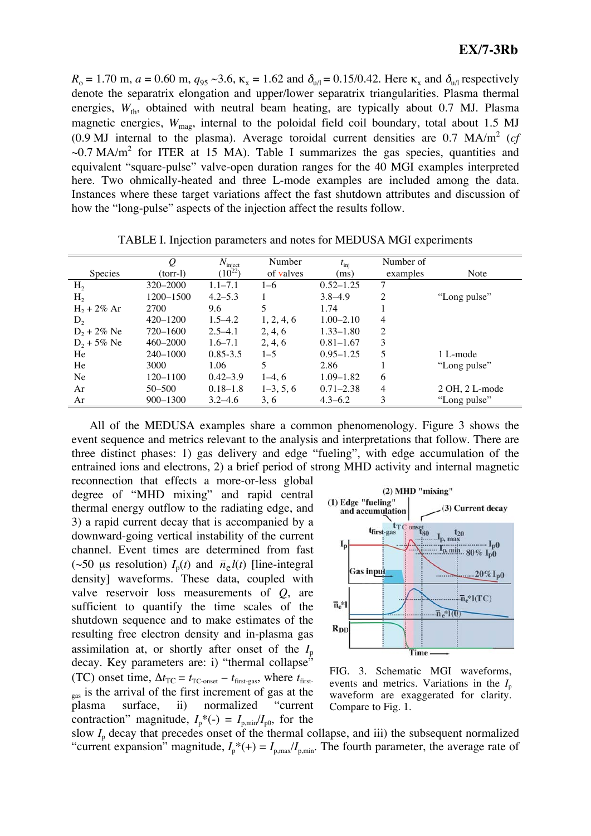$R_{\rm o} = 1.70$  m,  $a = 0.60$  m,  $q_{95} \sim 3.6$ ,  $\kappa_{\rm x} = 1.62$  and  $\delta_{\rm u/l} = 0.15/0.42$ . Here  $\kappa_{\rm x}$  and  $\delta_{\rm u/l}$  respectively denote the separatrix elongation and upper/lower separatrix triangularities. Plasma thermal energies,  $W_{th}$ , obtained with neutral beam heating, are typically about 0.7 MJ. Plasma magnetic energies,  $W_{\text{mag}}$ , internal to the poloidal field coil boundary, total about 1.5 MJ  $(0.9 \text{ MJ internal to the plasma})$ . Average toroidal current densities are  $0.7 \text{ MA/m}^2$  (cf  $\sim$ 0.7 MA/m<sup>2</sup> for ITER at 15 MA). Table I summarizes the gas species, quantities and equivalent "square-pulse" valve-open duration ranges for the 40 MGI examples interpreted here. Two ohmically-heated and three L-mode examples are included among the data. Instances where these target variations affect the fast shutdown attributes and discussion of how the "long-pulse" aspects of the injection affect the results follow.

|                | $\varrho$    | $N_{\text{inject}}$<br>(10 <sup>22</sup> ) | Number      | $t_{\rm inj}$ | Number of |                 |
|----------------|--------------|--------------------------------------------|-------------|---------------|-----------|-----------------|
| <b>Species</b> | (torr-l)     |                                            | of valves   | (ms)          | examples  | Note            |
| H <sub>2</sub> | 320-2000     | $1.1 - 7.1$                                | $1 - 6$     | $0.52 - 1.25$ | 7         |                 |
| H <sub>2</sub> | 1200-1500    | $4.2 - 5.3$                                |             | $3.8 - 4.9$   | 2         | "Long pulse"    |
| $H_2 + 2\%$ Ar | 2700         | 9.6                                        |             | 1.74          |           |                 |
| $D_2$          | $420 - 1200$ | $1.5 - 4.2$                                | 1, 2, 4, 6  | $1.00 - 2.10$ | 4         |                 |
| $D_2 + 2\%$ Ne | 720-1600     | $2.5 - 4.1$                                | 2, 4, 6     | $1.33 - 1.80$ | 2         |                 |
| $D_2 + 5\%$ Ne | $460 - 2000$ | $1.6 - 7.1$                                | 2, 4, 6     | $0.81 - 1.67$ | 3         |                 |
| He             | $240 - 1000$ | $0.85 - 3.5$                               | $1 - 5$     | $0.95 - 1.25$ | 5         | 1 L-mode        |
| He             | 3000         | 1.06                                       | 5           | 2.86          |           | "Long pulse"    |
| Ne             | $120 - 1100$ | $0.42 - 3.9$                               | $1-4, 6$    | $1.09 - 1.82$ | 6         |                 |
| Ar             | $50 - 500$   | $0.18 - 1.8$                               | $1-3, 5, 6$ | $0.71 - 2.38$ | 4         | $2OH, 2L$ -mode |
| Ar             | $900 - 1300$ | $3.2 - 4.6$                                | 3, 6        | $4.3 - 6.2$   | 3         | "Long pulse"    |

TABLE I. Injection parameters and notes for MEDUSA MGI experiments

All of the MEDUSA examples share a common phenomenology. Figure 3 shows the event sequence and metrics relevant to the analysis and interpretations that follow. There are three distinct phases: 1) gas delivery and edge "fueling", with edge accumulation of the entrained ions and electrons, 2) a brief period of strong MHD activity and internal magnetic

reconnection that effects a more-or-less global degree of "MHD mixing" and rapid central thermal energy outflow to the radiating edge, and 3) a rapid current decay that is accompanied by a downward-going vertical instability of the current channel. Event times are determined from fast (~50 μs resolution)  $I_p(t)$  and  $\bar{n}_e l(t)$  [line-integral density] waveforms. These data, coupled with valve reservoir loss measurements of *Q*, are sufficient to quantify the time scales of the shutdown sequence and to make estimates of the resulting free electron density and in-plasma gas assimilation at, or shortly after onset of the  $I_p$ decay. Key parameters are: i) "thermal collapse" (TC) onset time,  $\Delta t_{\text{TC}} = t_{\text{TC-onset}} - t_{\text{first-gas}}$ , where  $t_{\text{first-gas}}$  $_{gas}$  is the arrival of the first increment of gas at the plasma surface, ii) normalized "current contraction" magnitude,  $I_p^*(-) = I_{p,\text{min}}/I_{p0}$ , for the



FIG. 3. Schematic MGI waveforms, events and metrics. Variations in the  $I_p$ waveform are exaggerated for clarity. Compare to Fig. 1.

slow  $I_p$  decay that precedes onset of the thermal collapse, and iii) the subsequent normalized "current expansion" magnitude,  $I_p^*(+) = I_{p,\text{max}}/I_{p,\text{min}}$ . The fourth parameter, the average rate of "current expansion" magnitude,  $I_p^*(+) = I_{p,\text{max}}/I_{p,\text{min}}$ .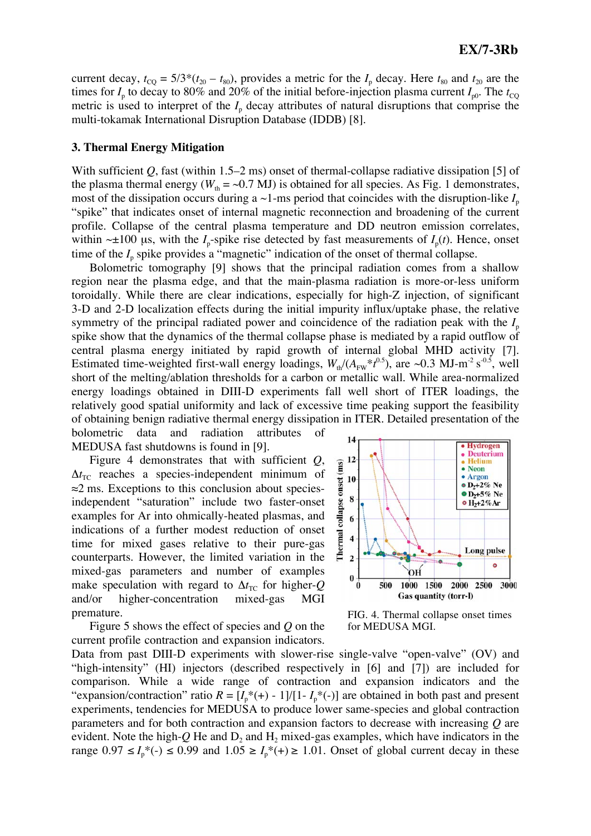current decay,  $t_{\text{CO}} = 5/3*(t_{20} - t_{80})$ , provides a metric for the  $I_p$  decay. Here  $t_{80}$  and  $t_{20}$  are the times for  $I_p$  to decay to 80% and 20% of the initial before-injection plasma current  $I_{p0}$ . The  $t_{\text{CO}}$ metric is used to interpret of the  $I_p$  decay attributes of natural disruptions that comprise the multi-tokamak International Disruption Database (IDDB) [8].

#### **3. Thermal Energy Mitigation**

With sufficient Q, fast (within 1.5–2 ms) onset of thermal-collapse radiative dissipation [5] of the plasma thermal energy ( $W_{th} = \sim 0.7$  MJ) is obtained for all species. As Fig. 1 demonstrates, most of the dissipation occurs during a  $\sim$ 1-ms period that coincides with the disruption-like  $I_p$ "spike" that indicates onset of internal magnetic reconnection and broadening of the current profile. Collapse of the central plasma temperature and DD neutron emission correlates, within  $\sim \pm 100$  μs, with the *I*<sub>p</sub>-spike rise detected by fast measurements of *I*<sub>p</sub>(*t*). Hence, onset time of the  $I_p$  spike provides a "magnetic" indication of the onset of thermal collapse.

Bolometric tomography [9] shows that the principal radiation comes from a shallow region near the plasma edge, and that the main-plasma radiation is more-or-less uniform toroidally. While there are clear indications, especially for high-Z injection, of significant 3-D and 2-D localization effects during the initial impurity influx/uptake phase, the relative symmetry of the principal radiated power and coincidence of the radiation peak with the  $I_p$ spike show that the dynamics of the thermal collapse phase is mediated by a rapid outflow of central plasma energy initiated by rapid growth of internal global MHD activity [7]. Estimated time-weighted first-wall energy loadings,  $W_{th}/(A_{FW} * t^{0.5})$ , are ~0.3 MJ-m<sup>-2</sup> s<sup>-0.5</sup>, well short of the melting/ablation thresholds for a carbon or metallic wall. While area-normalized energy loadings obtained in DIII-D experiments fall well short of ITER loadings, the relatively good spatial uniformity and lack of excessive time peaking support the feasibility of obtaining benign radiative thermal energy dissipation in ITER. Detailed presentation of the bolometric data and radiation attributes of

MEDUSA fast shutdowns is found in [9].

Figure 4 demonstrates that with sufficient *Q*,  $\Delta t_{\text{TC}}$  reaches a species-independent minimum of  $\approx$ 2 ms. Exceptions to this conclusion about speciesindependent "saturation" include two faster-onset examples for Ar into ohmically-heated plasmas, and indications of a further modest reduction of onset time for mixed gases relative to their pure-gas counterparts. However, the limited variation in the mixed-gas parameters and number of examples make speculation with regard to  $\Delta t_{\text{TC}}$  for higher-*Q* and/or higher-concentration mixed-gas MGI premature.

Figure 5 shows the effect of species and *Q* on the current profile contraction and expansion indicators.



FIG. 4. Thermal collapse onset times for MEDUSA MGI.

Data from past DIII-D experiments with slower-rise single-valve "open-valve" (OV) and "high-intensity" (HI) injectors (described respectively in [6] and [7]) are included for comparison. While a wide range of contraction and expansion indicators and the "expansion/contraction" ratio  $R = [I_p^*(+) - 1]/[1 - I_p^*(-)]$  are obtained in both past and present experiments, tendencies for MEDUSA to produce lower same-species and global contraction parameters and for both contraction and expansion factors to decrease with increasing *Q* are evident. Note the high- $Q$  He and  $D_2$  and  $H_2$  mixed-gas examples, which have indicators in the range  $0.97 \le I_p^*(-) \le 0.99$  and  $1.05 \ge I_p^*(-) \ge 1.01$ . Onset of global current decay in these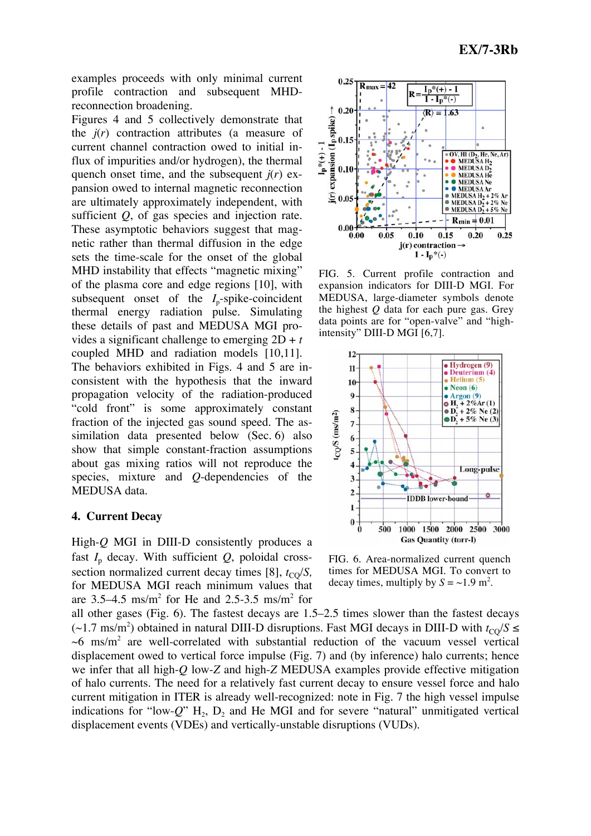examples proceeds with only minimal current profile contraction and subsequent MHDreconnection broadening.

Figures 4 and 5 collectively demonstrate that the *j*(*r*) contraction attributes (a measure of current channel contraction owed to initial influx of impurities and/or hydrogen), the thermal quench onset time, and the subsequent  $j(r)$  expansion owed to internal magnetic reconnection are ultimately approximately independent, with sufficient *Q*, of gas species and injection rate. These asymptotic behaviors suggest that magnetic rather than thermal diffusion in the edge sets the time-scale for the onset of the global MHD instability that effects "magnetic mixing" of the plasma core and edge regions [10], with subsequent onset of the  $I_{n}$ -spike-coincident thermal energy radiation pulse. Simulating these details of past and MEDUSA MGI provides a significant challenge to emerging 2D + *t* coupled MHD and radiation models [10,11]. The behaviors exhibited in Figs. 4 and 5 are inconsistent with the hypothesis that the inward propagation velocity of the radiation-produced "cold front" is some approximately constant fraction of the injected gas sound speed. The assimilation data presented below (Sec. 6) also show that simple constant-fraction assumptions about gas mixing ratios will not reproduce the species, mixture and *Q*-dependencies of the MEDUSA data.

## **4. Current Decay**

High-*Q* MGI in DIII-D consistently produces a fast  $I_p$  decay. With sufficient  $Q$ , poloidal crosssection normalized current decay times [8],  $t_{\text{CO}}/S$ , for MEDUSA MGI reach minimum values that are  $3.5-4.5$  ms/m<sup>2</sup> for He and  $2.5-3.5$  ms/m<sup>2</sup> for



FIG. 5. Current profile contraction and expansion indicators for DIII-D MGI. For MEDUSA, large-diameter symbols denote the highest *Q* data for each pure gas. Grey data points are for "open-valve" and "highintensity" DIII-D MGI [6,7].



FIG. 6. Area-normalized current quench times for MEDUSA MGI. To convert to decay times, multiply by  $S = \sim 1.9$  m<sup>2</sup>.

all other gases (Fig. 6). The fastest decays are 1.5–2.5 times slower than the fastest decays  $(\sim 1.7 \text{ ms/m}^2)$  obtained in natural DIII-D disruptions. Fast MGI decays in DIII-D with  $t_{\text{CQ}}/S \leq$  $\sim$ 6 ms/m<sup>2</sup> are well-correlated with substantial reduction of the vacuum vessel vertical displacement owed to vertical force impulse (Fig. 7) and (by inference) halo currents; hence we infer that all high-*Q* low-*Z* and high-*Z* MEDUSA examples provide effective mitigation of halo currents. The need for a relatively fast current decay to ensure vessel force and halo current mitigation in ITER is already well-recognized: note in Fig. 7 the high vessel impulse indications for "low- $Q$ " H<sub>2</sub>, D<sub>2</sub> and He MGI and for severe "natural" unmitigated vertical displacement events (VDEs) and vertically-unstable disruptions (VUDs).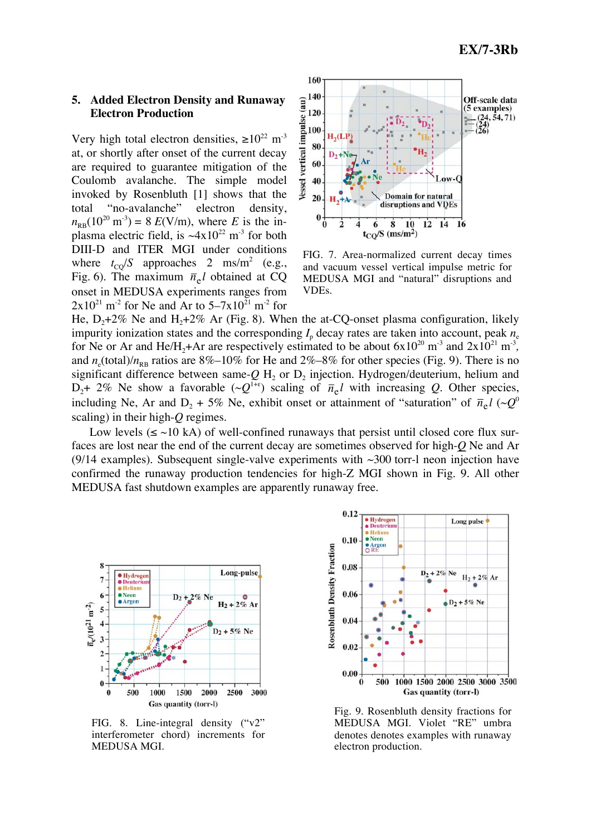#### **5. Added Electron Density and Runaway Electron Production**

Very high total electron densities,  $\geq 10^{22}$  m<sup>-3</sup> at, or shortly after onset of the current decay are required to guarantee mitigation of the Coulomb avalanche. The simple model invoked by Rosenbluth [1] shows that the total "no-avalanche" electron density,  $n_{\text{RB}}(10^{20} \text{ m}^3) = 8 \text{ } E(\text{V/m})$ , where *E* is the inplasma electric field, is  $\sim 4x10^{22}$  m<sup>-3</sup> for both DIII-D and ITER MGI under conditions where  $t_{\text{CQ}}/S$  approaches 2 ms/m<sup>2</sup> (e.g., Fig. 6). The maximum  $\bar{n}_{e}$ *l* obtained at CQ onset in MEDUSA experiments ranges from  $2x10^{21}$  m<sup>-2</sup> for Ne and Ar to  $5-7x10^{21}$  m<sup>-2</sup> for



FIG. 7. Area-normalized current decay times and vacuum vessel vertical impulse metric for MEDUSA MGI and "natural" disruptions and VDEs.

He,  $D_2+2\%$  Ne and H<sub>2</sub>+2\% Ar (Fig. 8). When the at-CQ-onset plasma configuration, likely impurity ionization states and the corresponding  $I_p$  decay rates are taken into account, peak  $n_e$ for Ne or Ar and He/H<sub>2</sub>+Ar are respectively estimated to be about  $6x10^{20}$  m<sup>-3</sup> and  $2x10^{21}$  m<sup>-3</sup>, and  $n_e$ (total)/ $n_{RB}$  ratios are 8%–10% for He and 2%–8% for other species (Fig. 9). There is no significant difference between same- $Q$  H<sub>2</sub> or  $D_2$  injection. Hydrogen/deuterium, helium and  $D_2$ + 2% Ne show a favorable  $(\sim Q^{1+\epsilon})$  scaling of  $\bar{n}_{e}$ *l* with increasing *Q*. Other species, including Ne, Ar and D<sub>2</sub> + 5% Ne, exhibit onset or attainment of "saturation" of  $\bar{n}_{e}l$  ( $\sim Q^{0}$ ) scaling) in their high-*Q* regimes.

Low levels ( $\le$  ~10 kA) of well-confined runaways that persist until closed core flux surfaces are lost near the end of the current decay are sometimes observed for high-*Q* Ne and Ar (9/14 examples). Subsequent single-valve experiments with  $\sim$ 300 torr-l neon injection have confirmed the runaway production tendencies for high-Z MGI shown in Fig. 9. All other MEDUSA fast shutdown examples are apparently runaway free.



FIG. 8. Line-integral density ("v2" interferometer chord) increments for MEDUSA MGI.



Fig. 9. Rosenbluth density fractions for MEDUSA MGI. Violet "RE" umbra denotes denotes examples with runaway electron production.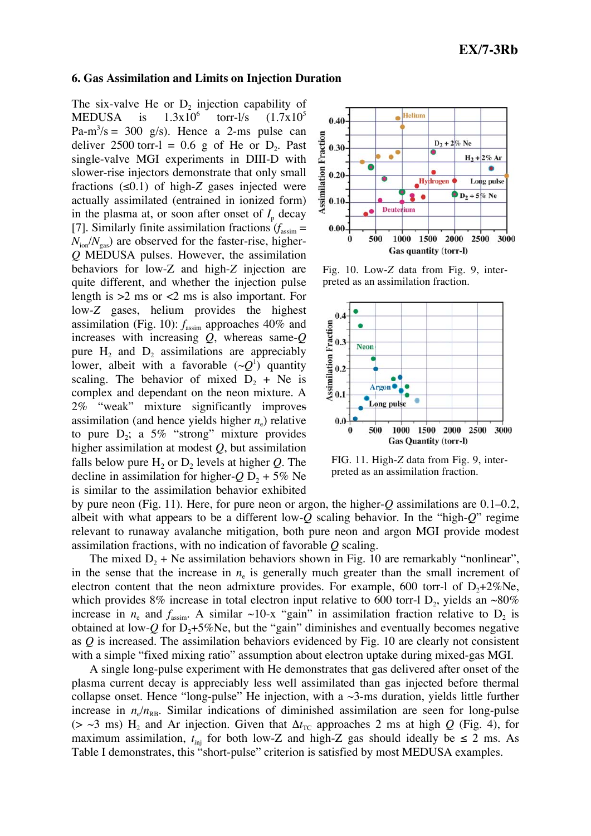#### **6. Gas Assimilation and Limits on Injection Duration**

The six-valve He or  $D_2$  injection capability of<br>MEDUSA is  $1.3x10^6$  torr-l/s  $(1.7x10^5$ MEDUSA is torr- $1/s = (1.7x10^5)$  $Pa-m<sup>3</sup>/s = 300$  g/s). Hence a 2-ms pulse can deliver 2500 torr-l =  $0.6$  g of He or D<sub>2</sub>. Past single-valve MGI experiments in DIII-D with slower-rise injectors demonstrate that only small fractions  $(\leq 0.1)$  of high-Z gases injected were actually assimilated (entrained in ionized form) in the plasma at, or soon after onset of  $I_p$  decay [7]. Similarly finite assimilation fractions  $(f_{\text{assim}} =$  $N_{\text{ion}}/N_{\text{gas}}$ ) are observed for the faster-rise, higher-*Q* MEDUSA pulses. However, the assimilation behaviors for low-Z and high-*Z* injection are quite different, and whether the injection pulse length is >2 ms or <2 ms is also important. For low-*Z* gases, helium provides the highest assimilation (Fig. 10):  $f_{\text{assim}}$  approaches 40% and increases with increasing *Q*, whereas same-*Q* pure  $H_2$  and  $D_2$  assimilations are appreciably lower, albeit with a favorable  $({\sim}Q<sup>1</sup>)$  quantity scaling. The behavior of mixed  $D_2$  + Ne is complex and dependant on the neon mixture. A 2% "weak" mixture significantly improves assimilation (and hence yields higher  $n_e$ ) relative to pure  $D_2$ ; a 5% "strong" mixture provides higher assimilation at modest *Q*, but assimilation falls below pure  $H_2$  or  $D_2$  levels at higher *Q*. The decline in assimilation for higher- $Q D_2 + 5\%$  Ne is similar to the assimilation behavior exhibited



Fig. 10. Low-*Z* data from Fig. 9, interpreted as an assimilation fraction.



FIG. 11. High-*Z* data from Fig. 9, interpreted as an assimilation fraction.

by pure neon (Fig. 11). Here, for pure neon or argon, the higher-*Q* assimilations are 0.1–0.2, albeit with what appears to be a different low-*Q* scaling behavior. In the "high-*Q*" regime relevant to runaway avalanche mitigation, both pure neon and argon MGI provide modest assimilation fractions, with no indication of favorable *Q* scaling.

The mixed  $D_2$  + Ne assimilation behaviors shown in Fig. 10 are remarkably "nonlinear", in the sense that the increase in  $n_e$  is generally much greater than the small increment of electron content that the neon admixture provides. For example, 600 torr-l of  $D_2+2\%$ Ne, which provides 8% increase in total electron input relative to 600 torr-l D<sub>2</sub>, yields an  $\sim$ 80% increase in  $n_e$  and  $f_{\text{assim}}$ . A similar ~10-x "gain" in assimilation fraction relative to  $D_2$  is obtained at low- $Q$  for  $D_2 + 5\%$ Ne, but the "gain" diminishes and eventually becomes negative as *Q* is increased. The assimilation behaviors evidenced by Fig. 10 are clearly not consistent with a simple "fixed mixing ratio" assumption about electron uptake during mixed-gas MGI.

A single long-pulse experiment with He demonstrates that gas delivered after onset of the plasma current decay is appreciably less well assimilated than gas injected before thermal collapse onset. Hence "long-pulse" He injection, with a  $\sim$ 3-ms duration, yields little further increase in  $n_e/n_{\text{RB}}$ . Similar indications of diminished assimilation are seen for long-pulse ( $>$   $\sim$ 3 ms) H<sub>2</sub> and Ar injection. Given that  $\Delta t_{TC}$  approaches 2 ms at high *Q* (Fig. 4), for maximum assimilation,  $t_{\text{ini}}$  for both low-Z and high-Z gas should ideally be  $\leq 2$  ms. As Table I demonstrates, this "short-pulse" criterion is satisfied by most MEDUSA examples.